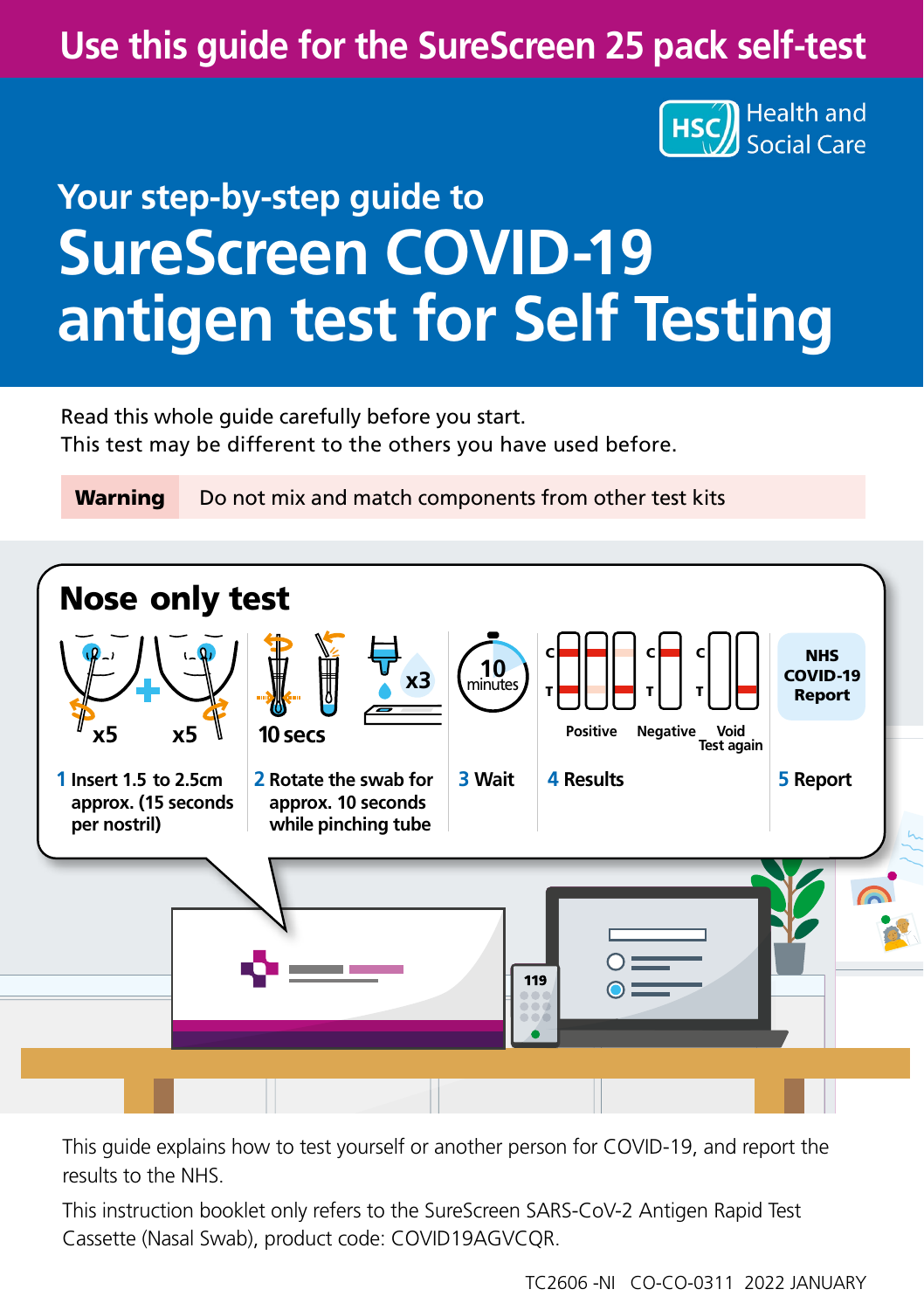# **Use this guide for the SureScreen 25 pack self-test**



# **Your step-by-step guide to SureScreen COVID-19 antigen test for Self Testing**

Read this whole guide carefully before you start. This test may be different to the others you have used before.

Warning Do not mix and match components from other test kits



This guide explains how to test yourself or another person for COVID-19, and report the results to the NHS.

This instruction booklet only refers to the SureScreen SARS-CoV-2 Antigen Rapid Test Cassette (Nasal Swab), product code: COVID19AGVCQR.

TC2606 -NI CO-CO-0311 2022 JANUARY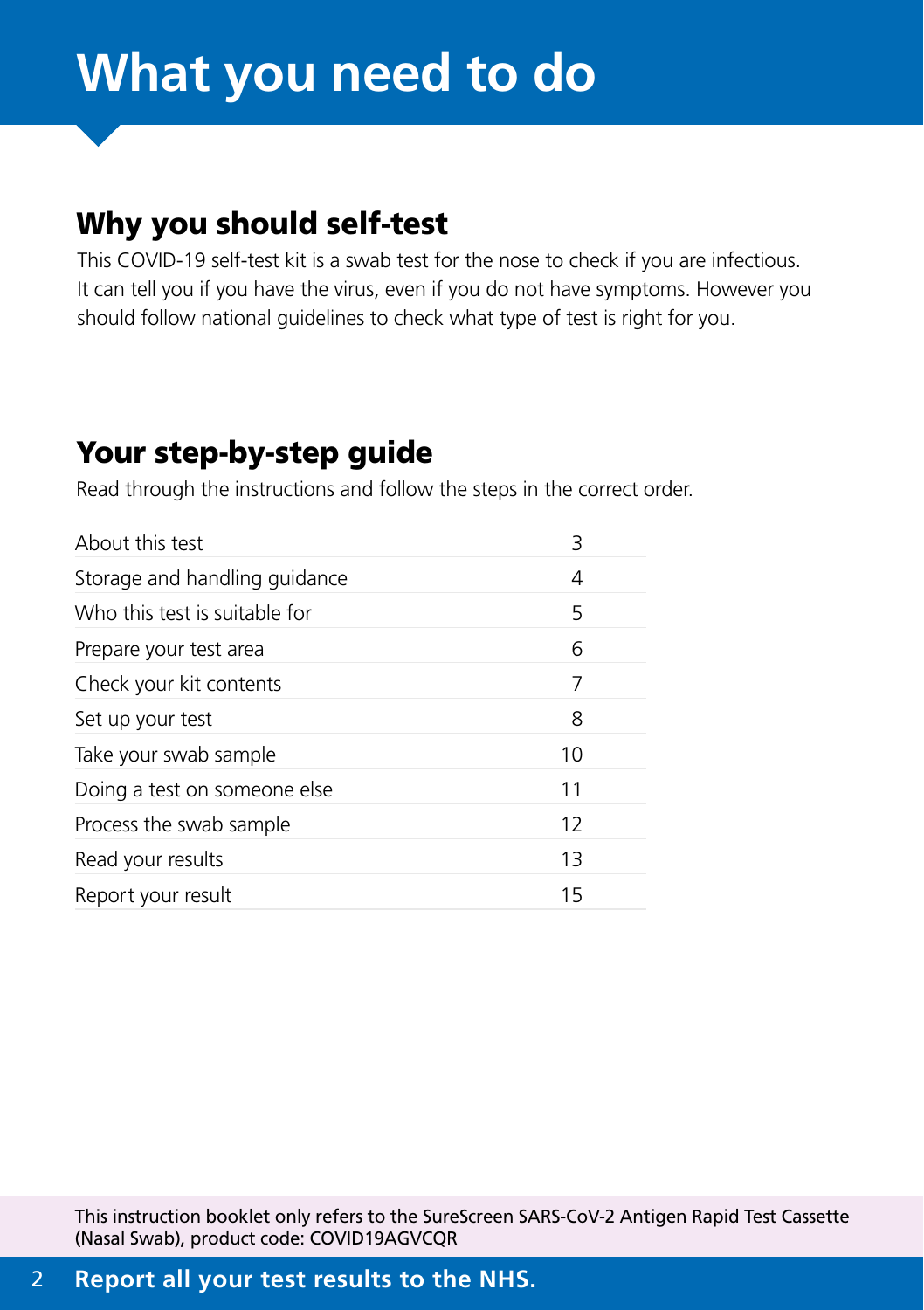# **What you need to do**

# Why you should self-test

This COVID-19 self-test kit is a swab test for the nose to check if you are infectious. It can tell you if you have the virus, even if you do not have symptoms. However you should follow national guidelines to check what type of test is right for you.

# Your step-by-step guide

Read through the instructions and follow the steps in the correct order.

| About this test               | 3  |
|-------------------------------|----|
| Storage and handling guidance | 4  |
| Who this test is suitable for | 5  |
| Prepare your test area        | 6  |
| Check your kit contents       | 7  |
| Set up your test              | 8  |
| Take your swab sample         | 10 |
| Doing a test on someone else  | 11 |
| Process the swab sample       | 12 |
| Read your results             | 13 |
| Report your result            | 15 |
|                               |    |

This instruction booklet only refers to the SureScreen SARS-CoV-2 Antigen Rapid Test Cassette (Nasal Swab), product code: COVID19AGVCQR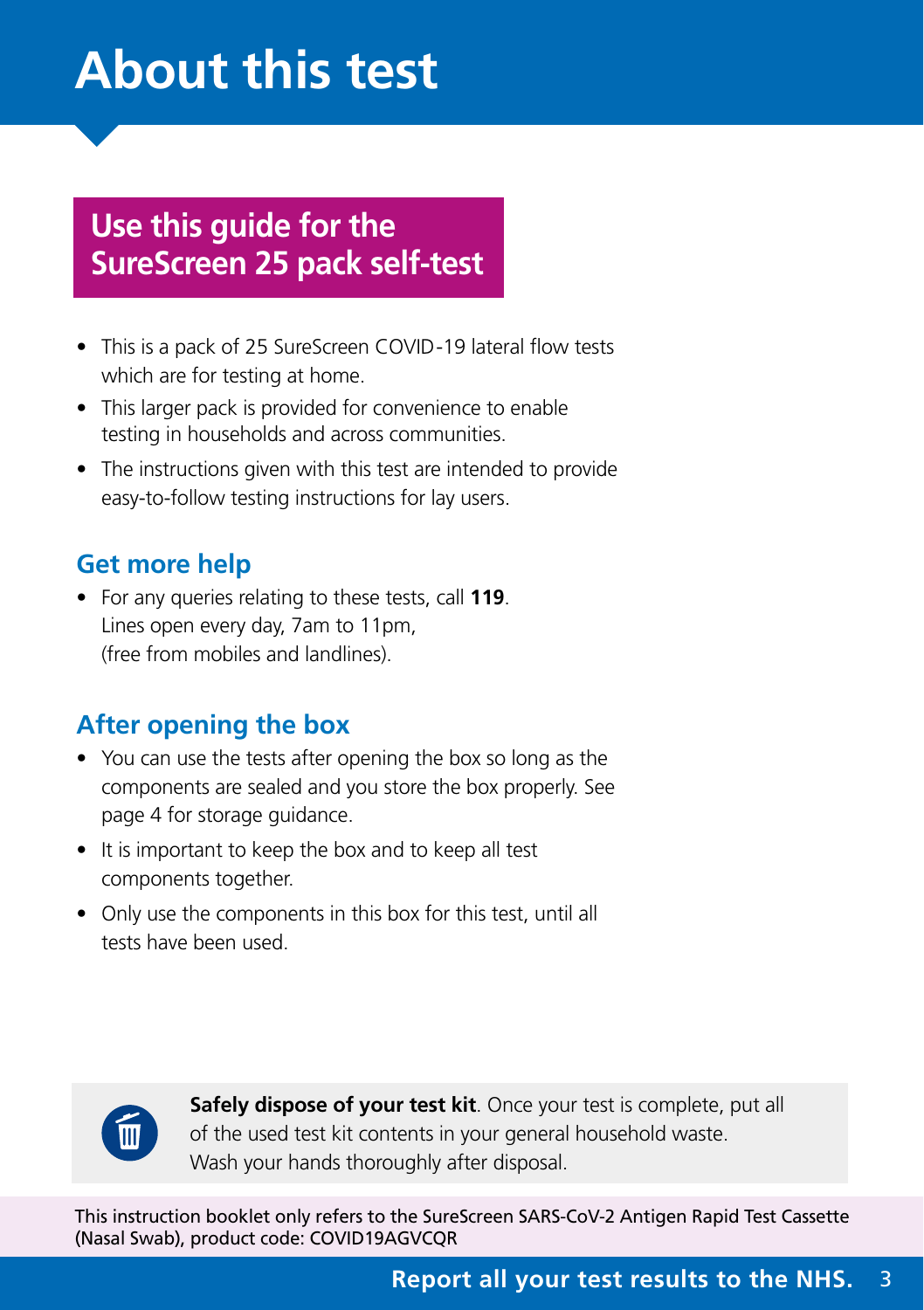# <span id="page-2-0"></span>**About this test**

# **Use this guide for the SureScreen 25 pack self-test**

- This is a pack of 25 SureScreen COVID-19 lateral flow tests which are for testing at home.
- This larger pack is provided for convenience to enable testing in households and across communities.
- The instructions given with this test are intended to provide easy-to-follow testing instructions for lay users.

# **Get more help**

• For any queries relating to these tests, call **119**. Lines open every day, 7am to 11pm, (free from mobiles and landlines).

# **After opening the box**

- You can use the tests after opening the box so long as the components are sealed and you store the box properly. See page 4 for storage guidance.
- It is important to keep the box and to keep all test components together.
- Only use the components in this box for this test, until all tests have been used.



**Safely dispose of your test kit**. Once your test is complete, put all of the used test kit contents in your general household waste. Wash your hands thoroughly after disposal.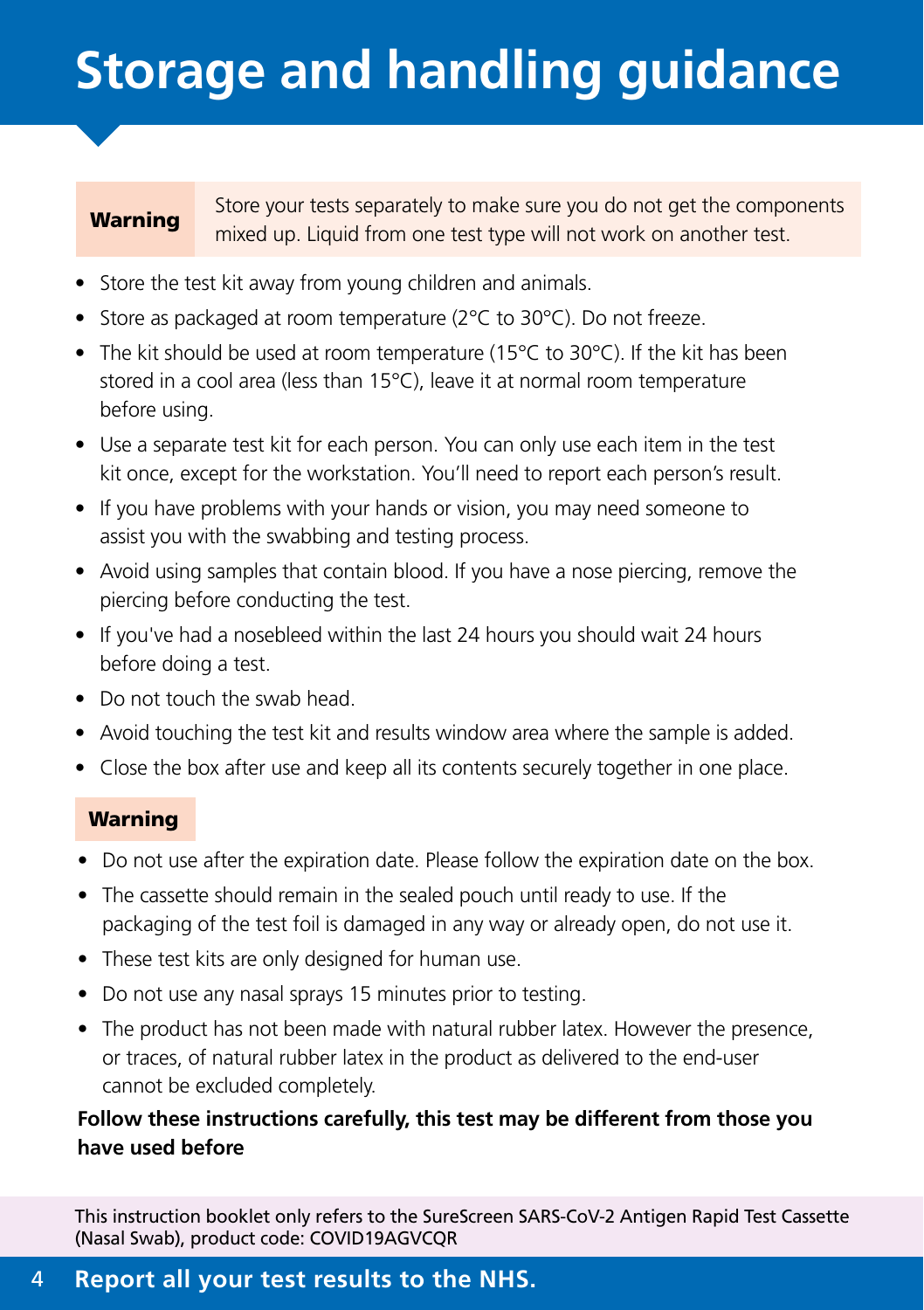# <span id="page-3-0"></span>**Storage and handling guidance**

Warning Store your tests separately to make sure you do not get the components mixed up. Liquid from one test type will not work on another test.

- Store the test kit away from young children and animals.
- Store as packaged at room temperature (2°C to 30°C). Do not freeze.
- The kit should be used at room temperature (15°C to 30°C). If the kit has been stored in a cool area (less than 15°C), leave it at normal room temperature before using.
- Use a separate test kit for each person. You can only use each item in the test kit once, except for the workstation. You'll need to report each person's result.
- If you have problems with your hands or vision, you may need someone to assist you with the swabbing and testing process.
- Avoid using samples that contain blood. If you have a nose piercing, remove the piercing before conducting the test.
- If you've had a nosebleed within the last 24 hours you should wait 24 hours before doing a test.
- Do not touch the swab head.
- Avoid touching the test kit and results window area where the sample is added.
- Close the box after use and keep all its contents securely together in one place.

#### Warning

- Do not use after the expiration date. Please follow the expiration date on the box.
- The cassette should remain in the sealed pouch until ready to use. If the packaging of the test foil is damaged in any way or already open, do not use it.
- These test kits are only designed for human use.
- Do not use any nasal sprays 15 minutes prior to testing.
- The product has not been made with natural rubber latex. However the presence, or traces, of natural rubber latex in the product as delivered to the end-user cannot be excluded completely.

#### **Follow these instructions carefully, this test may be different from those you have used before**

This instruction booklet only refers to the SureScreen SARS-CoV-2 Antigen Rapid Test Cassette (Nasal Swab), product code: COVID19AGVCQR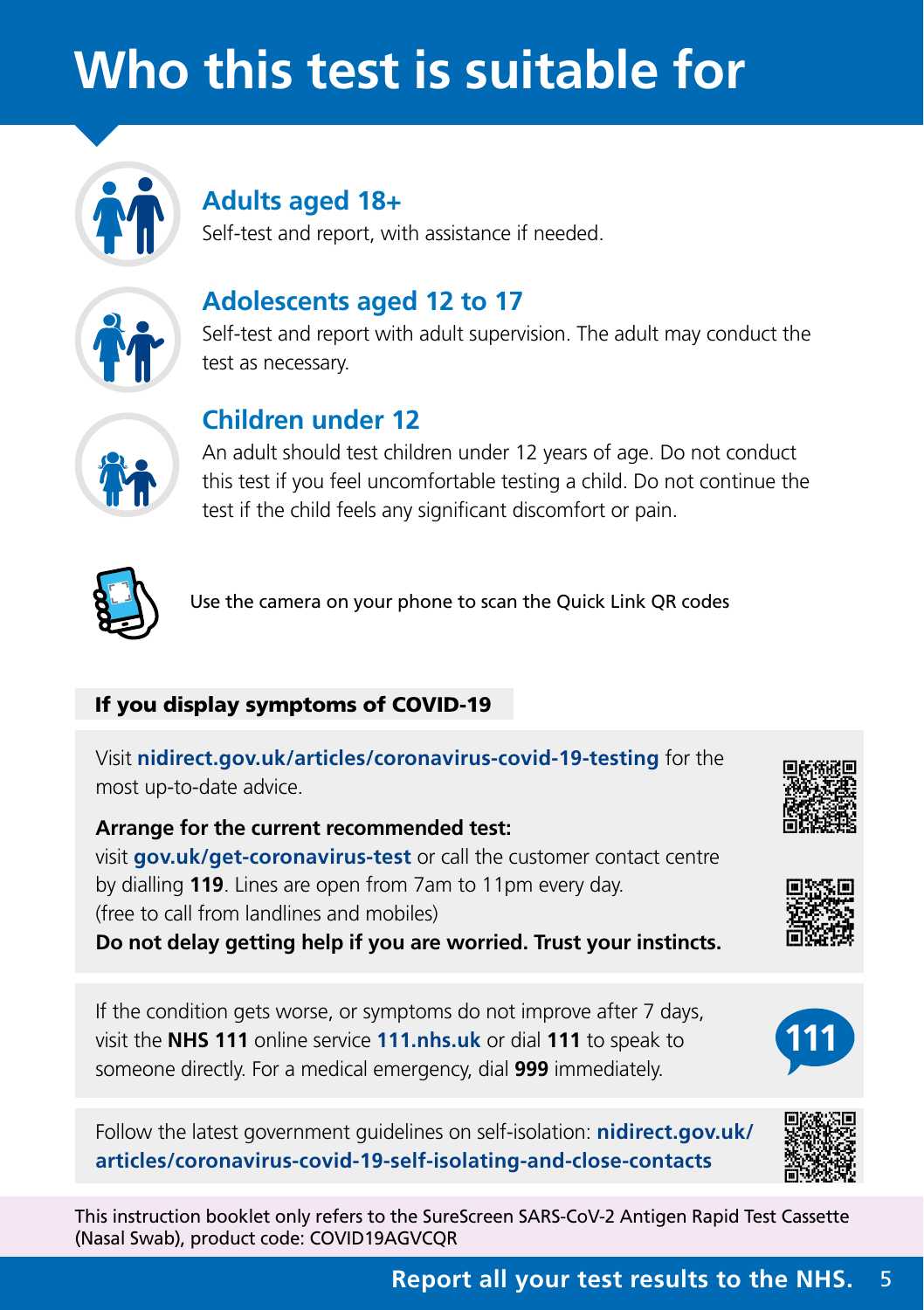# <span id="page-4-0"></span>**Who this test is suitable for**



# **Adults aged 18+**

Self-test and report, with assistance if needed.



## **Adolescents aged 12 to 17**

Self-test and report with adult supervision. The adult may conduct the test as necessary.



# **Children under 12**

An adult should test children under 12 years of age. Do not conduct this test if you feel uncomfortable testing a child. Do not continue the test if the child feels any significant discomfort or pain.



Use the camera on your phone to scan the Quick Link QR codes

#### If you display symptoms of COVID-19

Visit **[nidirect.gov.uk/articles/coronavirus-covid-19-testing](http://nidirect.gov.uk/articles/coronavirus-covid-19-testing)** for the most up-to-date advice.

**Arrange for the current recommended test:**  visit **[gov.uk/get-coronavirus-test](http://gov.uk/get-coronavirus-test)** or call the customer contact centre by dialling **119**. Lines are open from 7am to 11pm every day. (free to call from landlines and mobiles)

**Do not delay getting help if you are worried. Trust your instincts.**

If the condition gets worse, or symptoms do not improve after 7 days, visit the **NHS 111** online service **111.nhs.uk** or dial **111** to speak to someone directly. For a medical emergency, dial **999** immediately.

Follow the latest government guidelines on self-isolation: **[nidirect.gov.uk/](http://nidirect.gov.uk/articles/coronavirus-covid-19-self-isolating-and-close-contacts) [articles/coronavirus-covid-19-self-isolating-and-close-contacts](http://nidirect.gov.uk/articles/coronavirus-covid-19-self-isolating-and-close-contacts)**







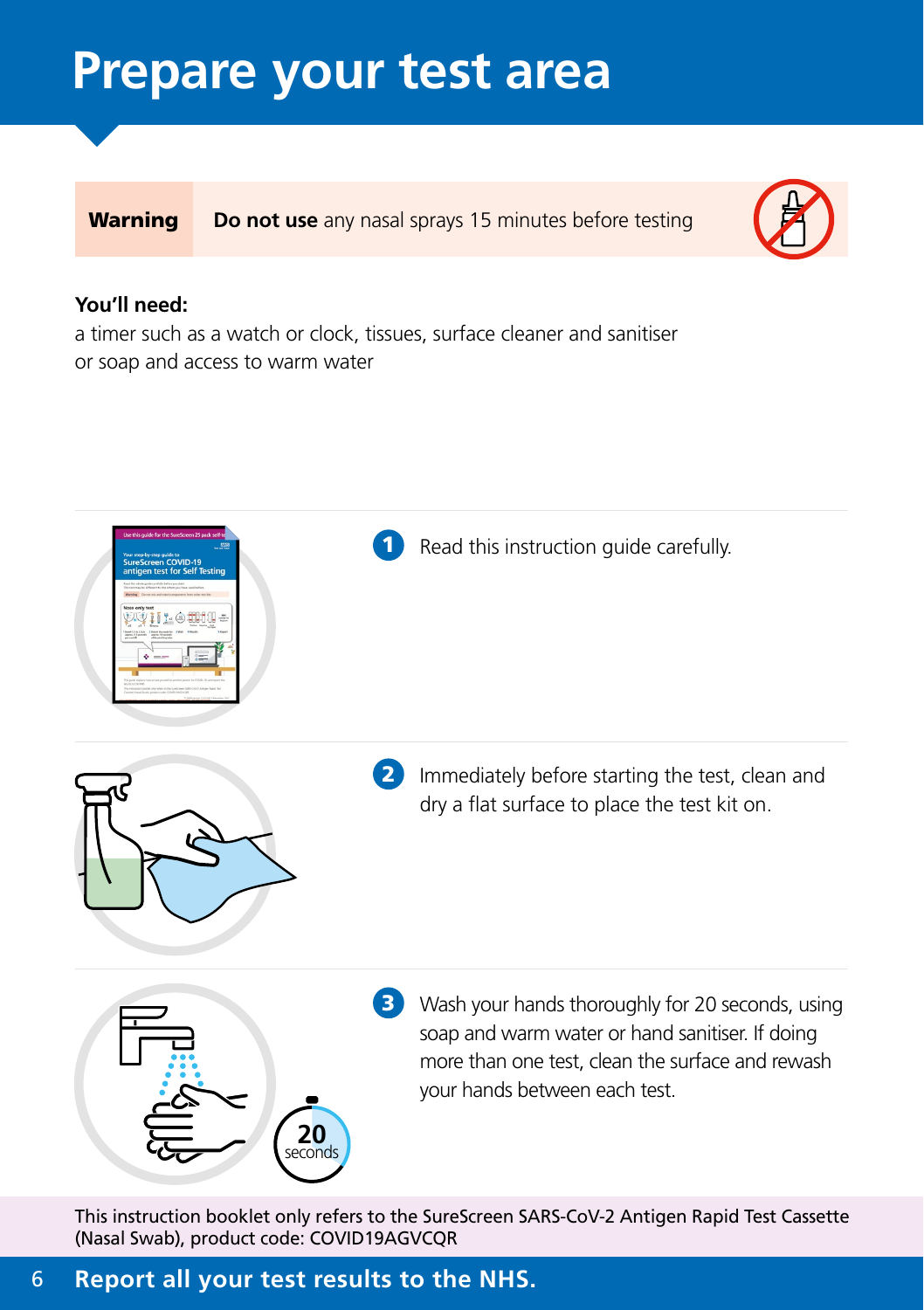# <span id="page-5-0"></span>**Prepare your test area**

**Warning Do not use** any nasal sprays 15 minutes before testing



#### **You'll need:**

a timer such as a watch or clock, tissues, surface cleaner and sanitiser or soap and access to warm water



This instruction booklet only refers to the SureScreen SARS-CoV-2 Antigen Rapid Test Cassette (Nasal Swab), product code: COVID19AGVCQR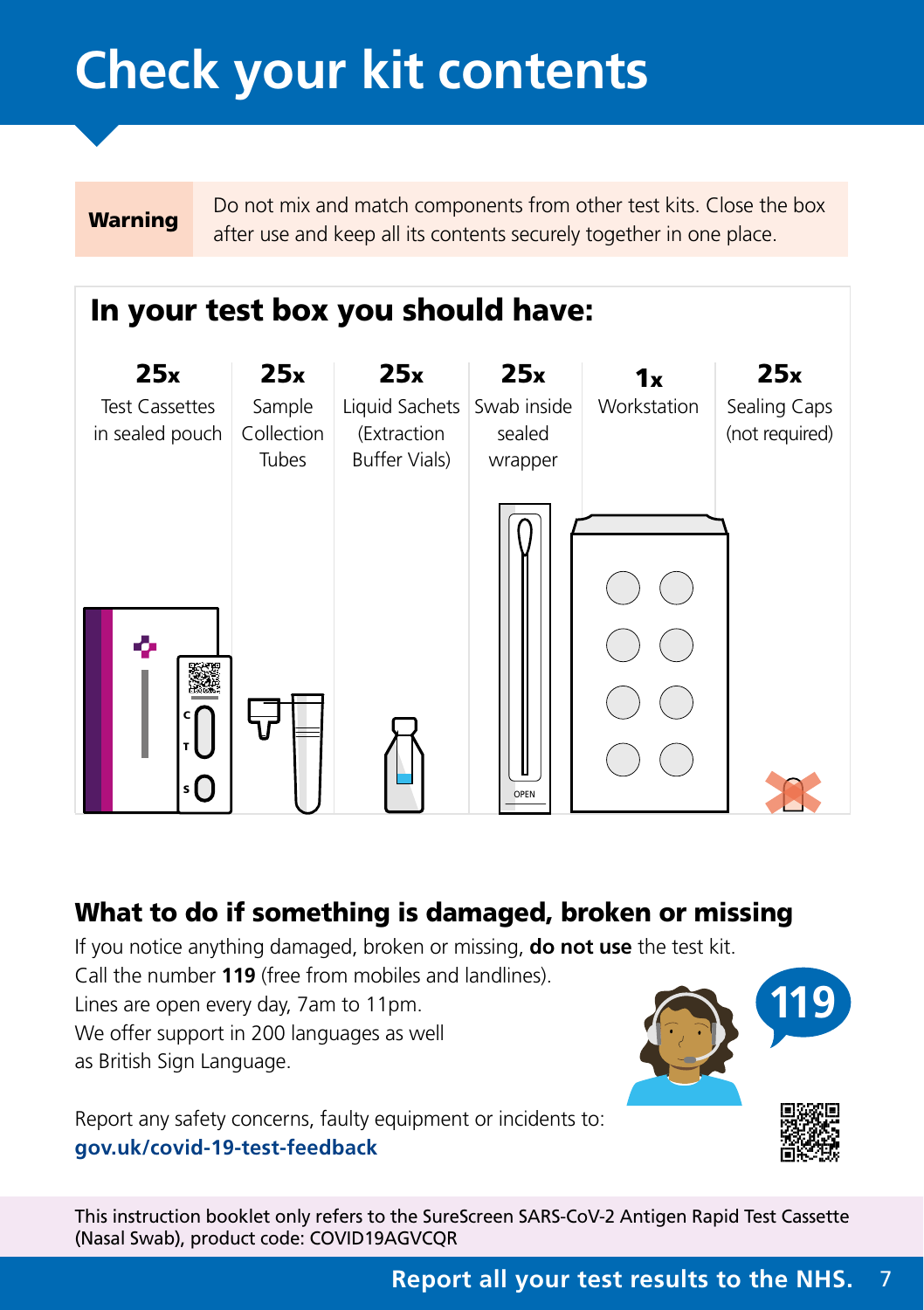# <span id="page-6-0"></span>**Check your kit contents**

Warning Do not mix and match components from other test kits. Close the box after use and keep all its contents securely together in one place.

# In your test box you should have:



# What to do if something is damaged, broken or missing

If you notice anything damaged, broken or missing, **do not use** the test kit.

Call the number **119** (free from mobiles and landlines). Lines are open every day, 7am to 11pm.

We offer support in 200 languages as well as British Sign Language.



Report any safety concerns, faulty equipment or incidents to: **[gov.uk/covid-19-test-feedback](https://www.gov.uk/guidance/coronavirus-covid-19-test-kit-give-feedback-or-report-harm)**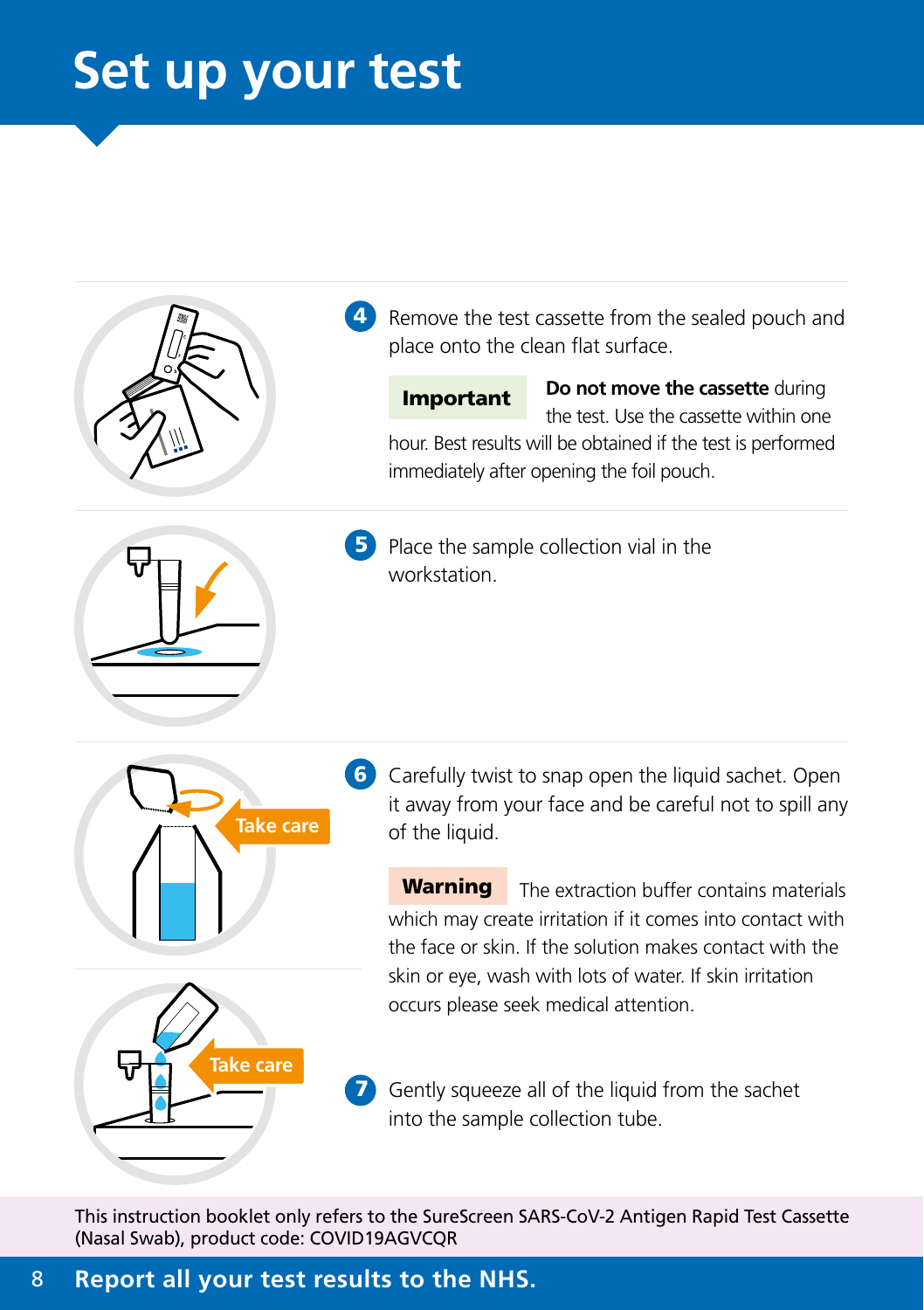# <span id="page-7-0"></span>**Set up your test**





**5** Place the sample collection vial in the workstation.



6 Carefully twist to snap open the liquid sachet. Open it away from your face and be careful not to spill any of the liquid.

**Warning** The extraction buffer contains materials which may create irritation if it comes into contact with the face or skin. If the solution makes contact with the skin or eye, wash with lots of water. If skin irritation occurs please seek medical attention.

Gently squeeze all of the liquid from the sachet into the sample collection tube.

This instruction booklet only refers to the SureScreen SARS-CoV-2 Antigen Rapid Test Cassette (Nasal Swab), product code: COVID19AGVCQR

8 **Report all your test results to the NHS.**

**Take care**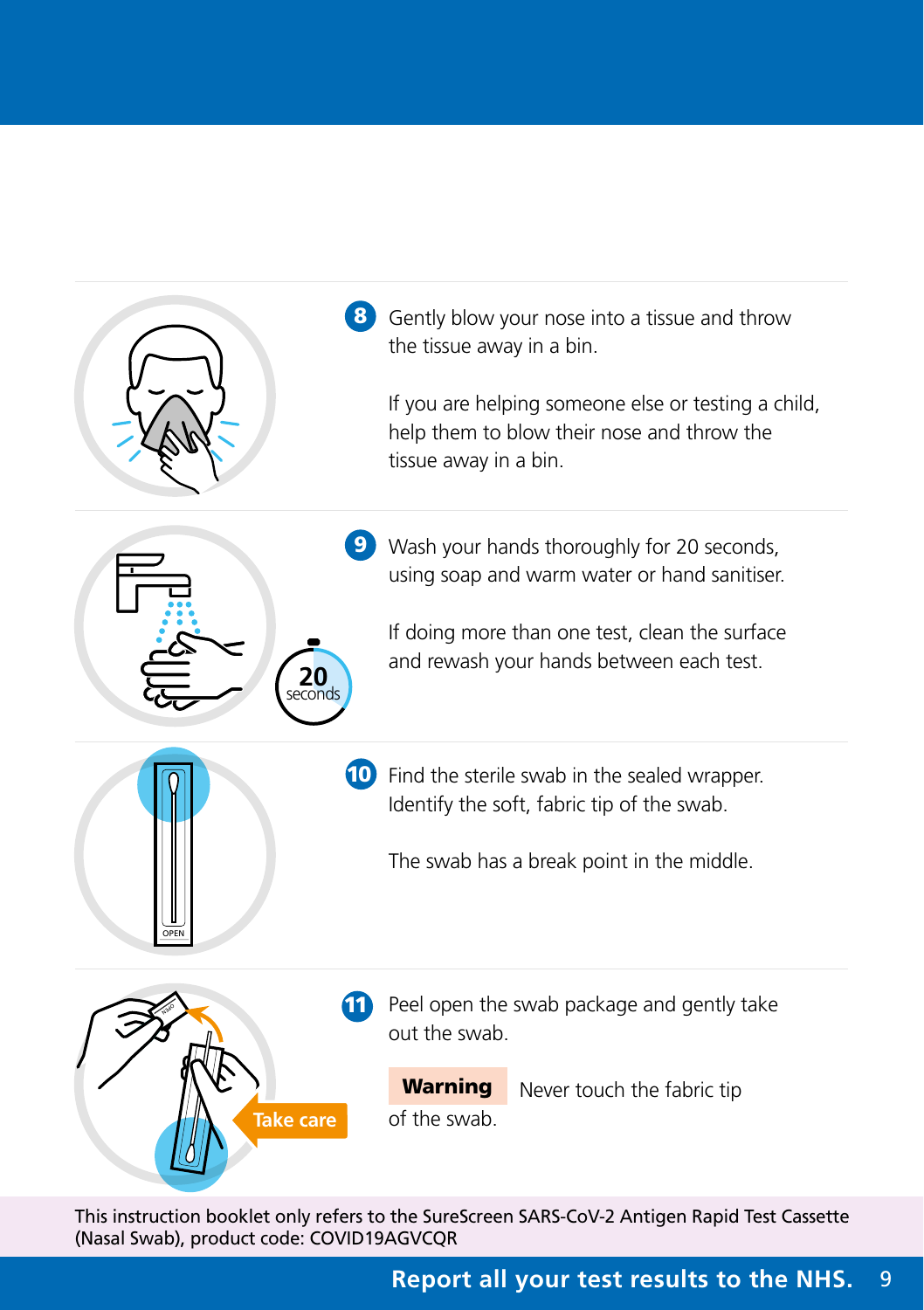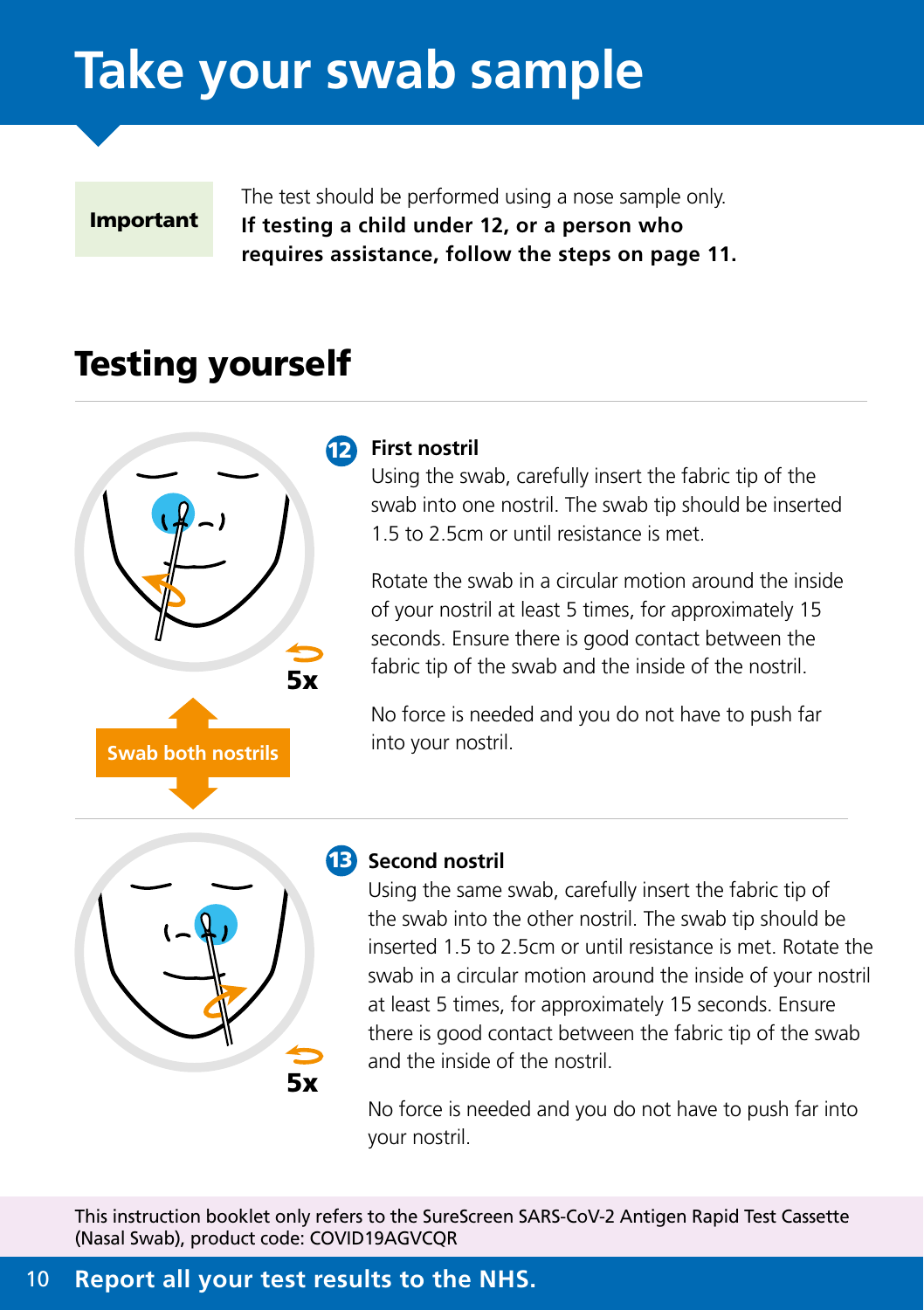# <span id="page-9-0"></span>**Take your swab sample**



The test should be performed using a nose sample only. **If testing a child under 12, or a person who requires assistance, follow the steps on page 11.**

# Testing yourself



#### 12 **First nostril**

Using the swab, carefully insert the fabric tip of the swab into one nostril. The swab tip should be inserted 1.5 to 2.5cm or until resistance is met.

Rotate the swab in a circular motion around the inside of your nostril at least 5 times, for approximately 15 seconds. Ensure there is good contact between the fabric tip of the swab and the inside of the nostril.

No force is needed and you do not have to push far into your nostril.



### 13 **Second nostril**

Using the same swab, carefully insert the fabric tip of the swab into the other nostril. The swab tip should be inserted 1.5 to 2.5cm or until resistance is met. Rotate the swab in a circular motion around the inside of your nostril at least 5 times, for approximately 15 seconds. Ensure there is good contact between the fabric tip of the swab and the inside of the nostril.

No force is needed and you do not have to push far into your nostril.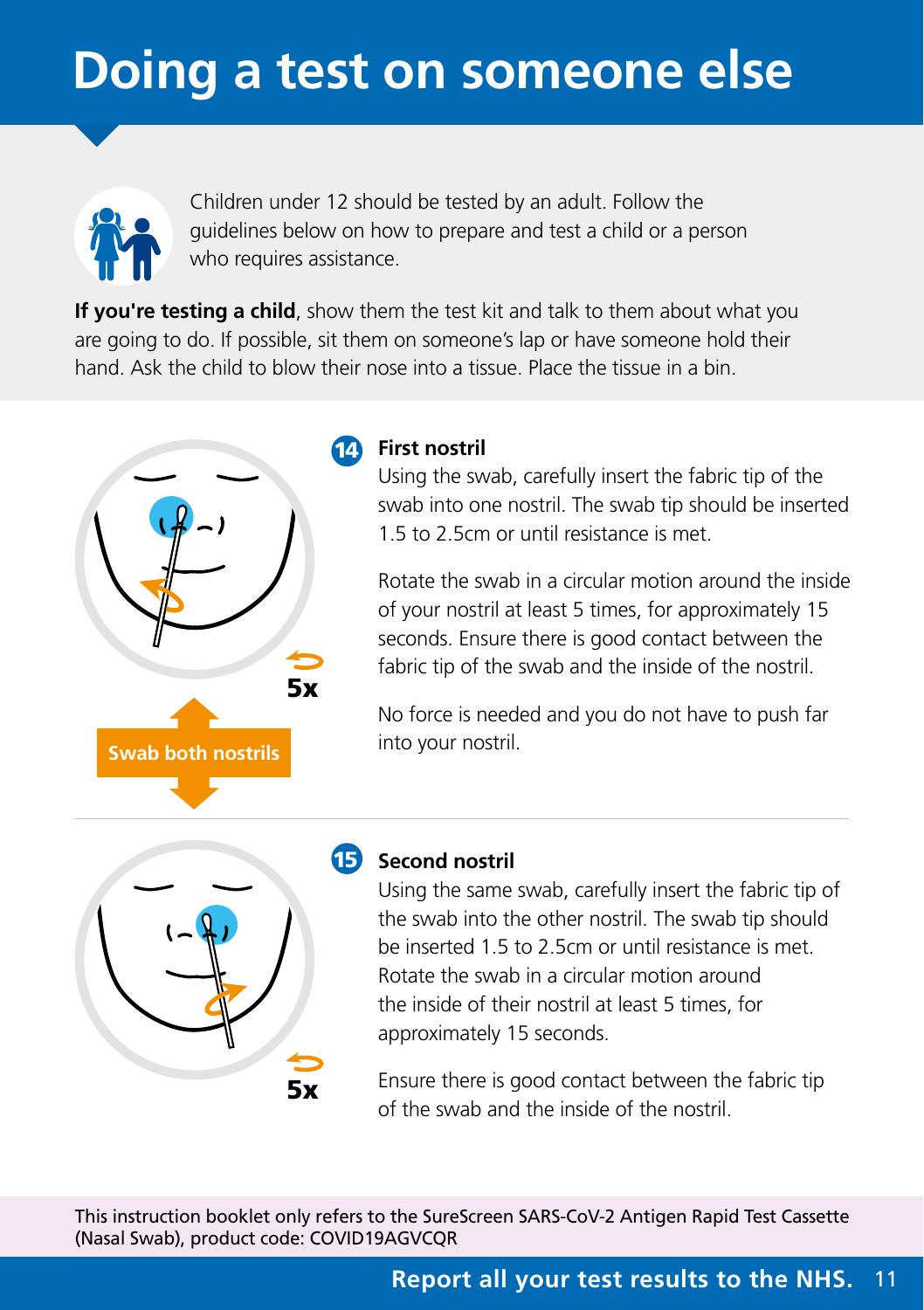# <span id="page-10-0"></span>**Doing a test on someone else**



Children under 12 should be tested by an adult. Follow the guidelines below on how to prepare and test a child or a person who requires assistance.

**If you're testing a child**, show them the test kit and talk to them about what you are going to do. If possible, sit them on someone's lap or have someone hold their hand. Ask the child to blow their nose into a tissue. Place the tissue in a bin.



### 14 **First nostril**

Using the swab, carefully insert the fabric tip of the swab into one nostril. The swab tip should be inserted 1.5 to 2.5cm or until resistance is met.

Rotate the swab in a circular motion around the inside of your nostril at least 5 times, for approximately 15 seconds. Ensure there is good contact between the fabric tip of the swab and the inside of the nostril.

No force is needed and you do not have to push far into your nostril.



### 15 **Second nostril**

Using the same swab, carefully insert the fabric tip of the swab into the other nostril. The swab tip should be inserted 1.5 to 2.5cm or until resistance is met. Rotate the swab in a circular motion around the inside of their nostril at least 5 times, for approximately 15 seconds.

Ensure there is good contact between the fabric tip of the swab and the inside of the nostril.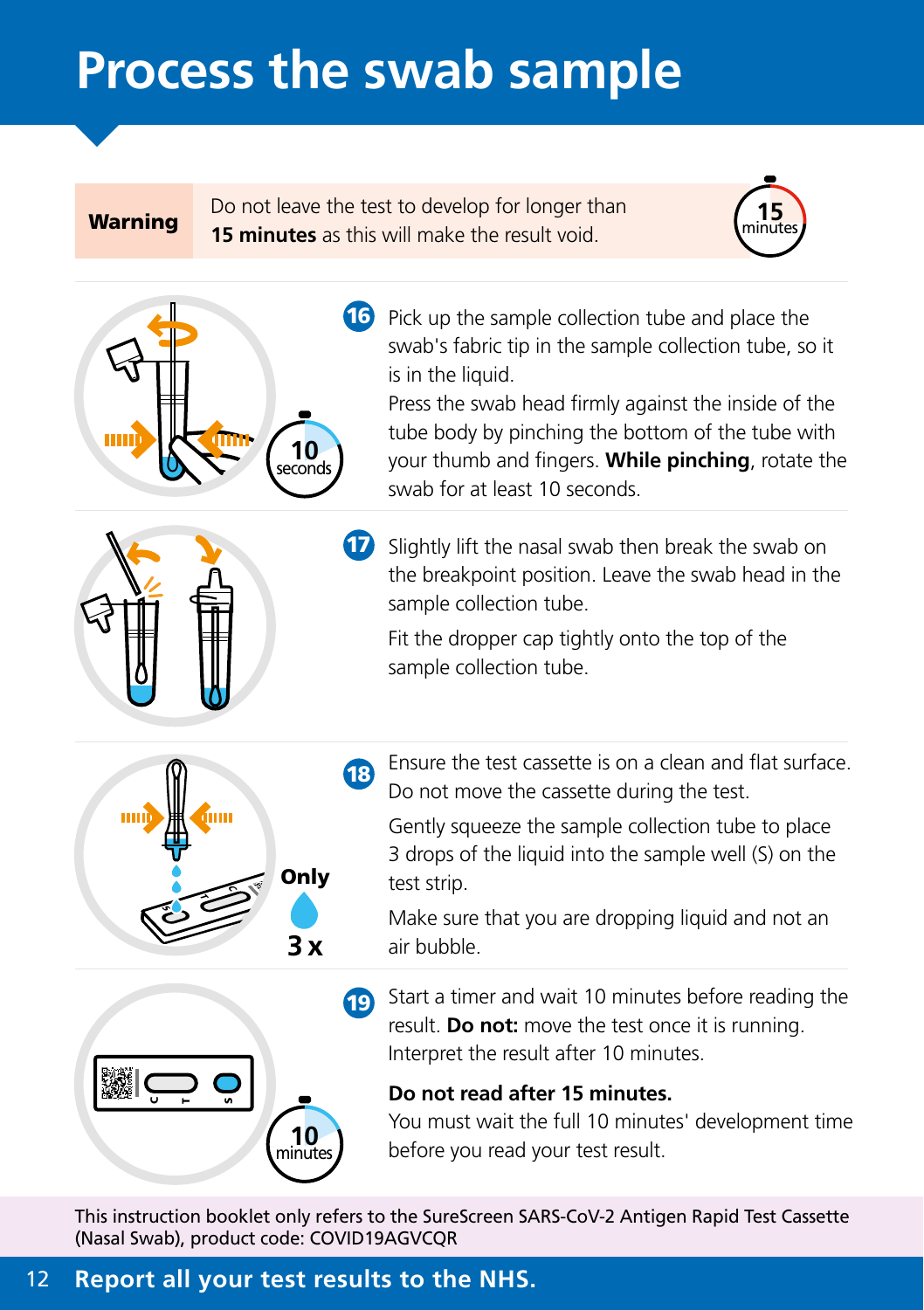# <span id="page-11-0"></span>**Process the swab sample**

Warning Do not leave the test to develop for longer than **15 minutes** as this will make the result void.





16 Pick up the sample collection tube and place the swab's fabric tip in the sample collection tube, so it is in the liquid.

Press the swab head firmly against the inside of the tube body by pinching the bottom of the tube with your thumb and fingers. **While pinching**, rotate the swab for at least 10 seconds.



 $\sigma$ ÷ S

C $\blacksquare$ n **17** Slightly lift the nasal swab then break the swab on the breakpoint position. Leave the swab head in the sample collection tube.

Fit the dropper cap tightly onto the top of the sample collection tube.

**18** Ensure the test cassette is on a clean and flat surface. Do not move the cassette during the test.

Gently squeeze the sample collection tube to place 3 drops of the liquid into the sample well (S) on the test strip.

Make sure that you are dropping liquid and not an air bubble.

**19** Start a timer and wait 10 minutes before reading the result. **Do not:** move the test once it is running. Interpret the result after 10 minutes.

#### **Do not read after 15 minutes.**

You must wait the full 10 minutes' development time before you read your test result.

This instruction booklet only refers to the SureScreen SARS-CoV-2 Antigen Rapid Test Cassette (Nasal Swab), product code: COVID19AGVCQR

### 12 **Report all your test results to the NHS.**

**10** hinute

**3 x**

**Only**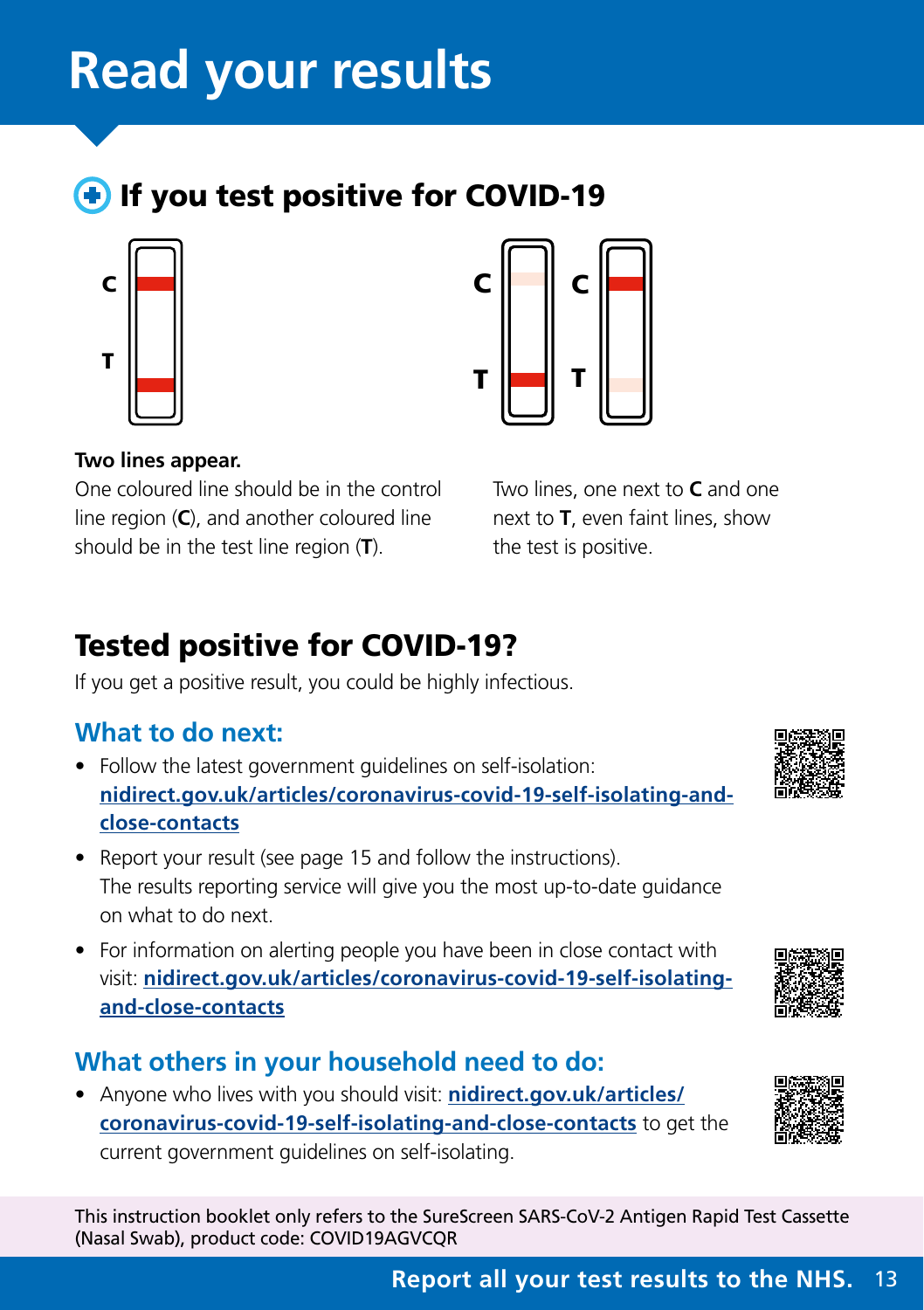# <span id="page-12-0"></span>**Read your results**

**If you test positive for COVID-19** 





#### **Two lines appear.**

One coloured line should be in the control line region (**C**), and another coloured line should be in the test line region (**T**).

Two lines, one next to **C** and one next to **T**, even faint lines, show the test is positive.

# Tested positive for COVID-19?

If you get a positive result, you could be highly infectious.

# **What to do next:**

- Follow the latest government guidelines on self-isolation: **[nidirect.gov.uk/articles/coronavirus-covid-19-self-isolating-and](http://nidirect.gov.uk/articles/coronavirus-covid-19-self-isolating-and-close-contacts)[close-contacts](http://nidirect.gov.uk/articles/coronavirus-covid-19-self-isolating-and-close-contacts)**
- Report your result (see page 15 and follow the instructions). The results reporting service will give you the most up-to-date guidance on what to do next.
- For information on alerting people you have been in close contact with visit: **[nidirect.gov.uk/articles/coronavirus-covid-19-self-isolating](http://nidirect.gov.uk/articles/coronavirus-covid-19-self-isolating-and-close-contacts)[and-close-contacts](http://nidirect.gov.uk/articles/coronavirus-covid-19-self-isolating-and-close-contacts)**

### **What others in your household need to do:**

• Anyone who lives with you should visit: **[nidirect.gov.uk/articles/](http://nidirect.gov.uk/articles/coronavirus-covid-19-self-isolating-and-close-contacts) [coronavirus-covid-19-self-isolating-and-close-contacts](http://nidirect.gov.uk/articles/coronavirus-covid-19-self-isolating-and-close-contacts)** to get the current government guidelines on self-isolating.





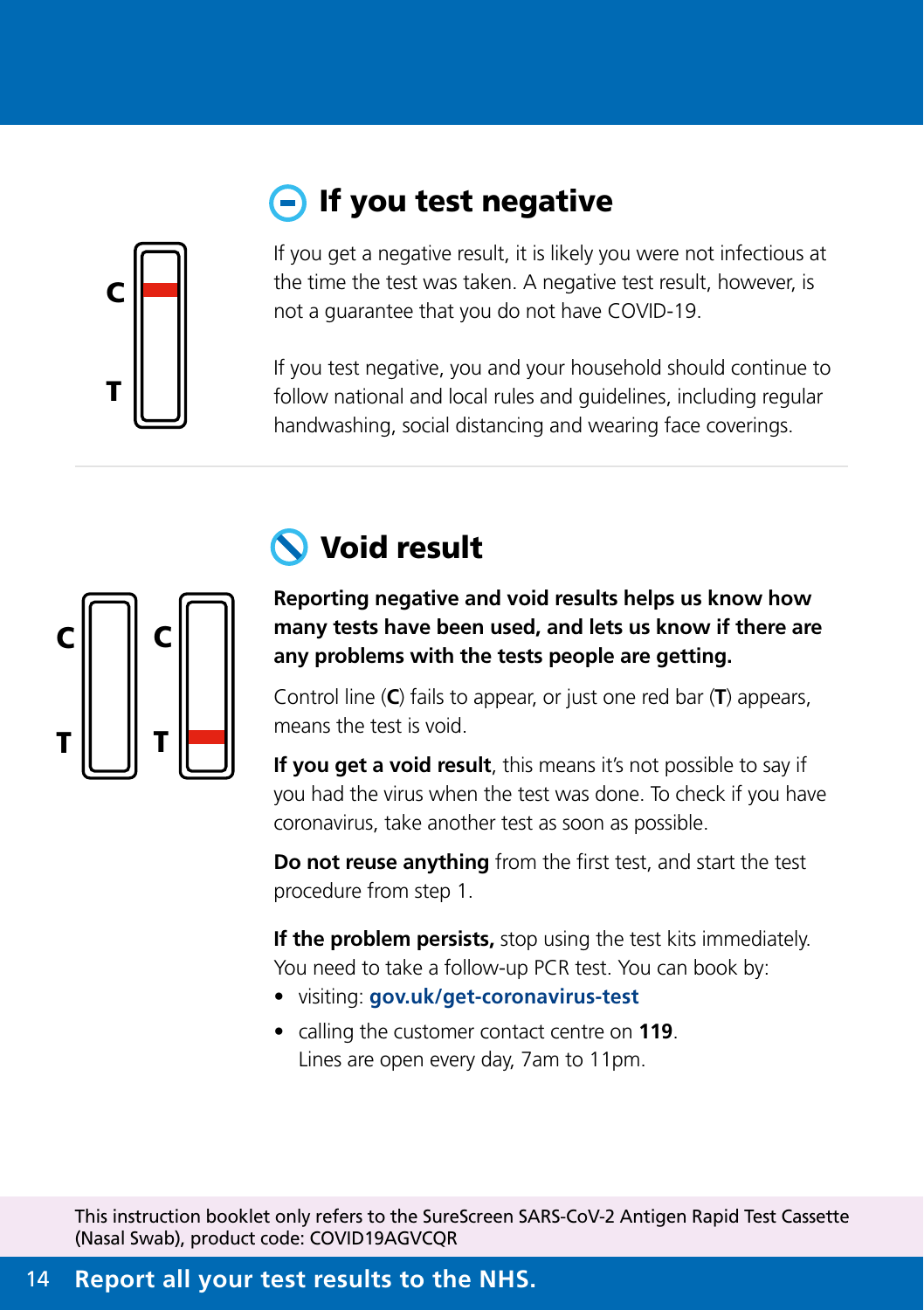# If you test negative



If you get a negative result, it is likely you were not infectious at the time the test was taken. A negative test result, however, is not a guarantee that you do not have COVID-19.

If you test negative, you and your household should continue to follow national and local rules and guidelines, including regular handwashing, social distancing and wearing face coverings.



# Void result

**Reporting negative and void results helps us know how many tests have been used, and lets us know if there are any problems with the tests people are getting.**

Control line (**C**) fails to appear, or just one red bar (**T**) appears, means the test is void.

**If you get a void result**, this means it's not possible to say if you had the virus when the test was done. To check if you have coronavirus, take another test as soon as possible.

**Do not reuse anything** from the first test, and start the test procedure from step 1.

**If the problem persists,** stop using the test kits immediately. You need to take a follow-up PCR test. You can book by:

- visiting: **[gov.uk/get-coronavirus-test](https://www.gov.uk/get-coronavirus-test)**
- calling the customer contact centre on **119**. Lines are open every day, 7am to 11pm.

This instruction booklet only refers to the SureScreen SARS-CoV-2 Antigen Rapid Test Cassette (Nasal Swab), product code: COVID19AGVCQR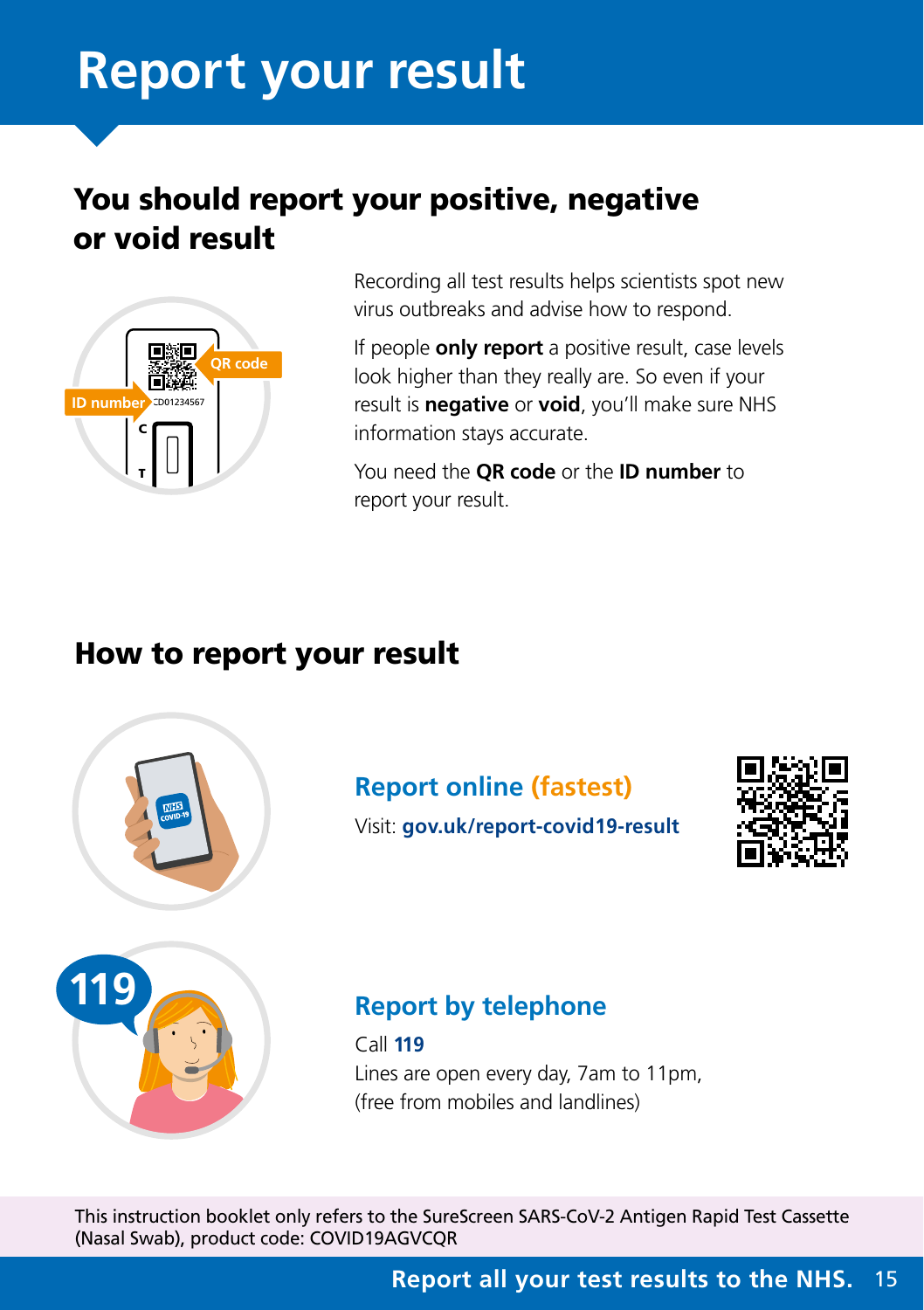# <span id="page-14-0"></span>**Report your result**

# You should report your positive, negative or void result



Recording all test results helps scientists spot new virus outbreaks and advise how to respond.

If people **only report** a positive result, case levels look higher than they really are. So even if your result is **negative** or **void**, you'll make sure NHS information stays accurate.

You need the **QR code** or the **ID number** to report your result.

# How to report your result



# **Report online (fastest)**



Visit: **[gov.uk/report-covid19-result](http://gov.uk/report-covid19-result)**

# **119**

# **Report by telephone**

Call **119** Lines are open every day, 7am to 11pm, (free from mobiles and landlines)